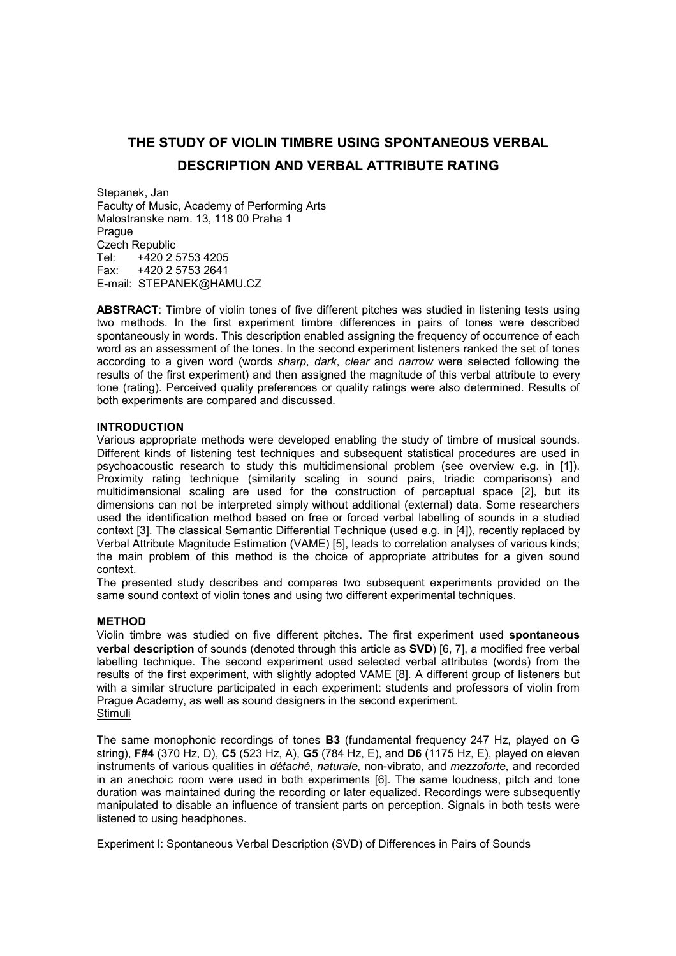# **THE STUDY OF VIOLIN TIMBRE USING SPONTANEOUS VERBAL DESCRIPTION AND VERBAL ATTRIBUTE RATING**

Stepanek, Jan Faculty of Music, Academy of Performing Arts Malostranske nam. 13, 118 00 Praha 1 **Prague** Czech Republic<br>Tel: +420.2 Tel: +420 2 5753 4205<br>Fax: +420 2 5753 2641 Fax: +420 2 5753 2641 E-mail: STEPANEK@HAMU.CZ

**ABSTRACT**: Timbre of violin tones of five different pitches was studied in listening tests using two methods. In the first experiment timbre differences in pairs of tones were described spontaneously in words. This description enabled assigning the frequency of occurrence of each word as an assessment of the tones. In the second experiment listeners ranked the set of tones according to a given word (words *sharp*, *dark*, *clear* and *narrow* were selected following the results of the first experiment) and then assigned the magnitude of this verbal attribute to every tone (rating). Perceived quality preferences or quality ratings were also determined. Results of both experiments are compared and discussed.

# **INTRODUCTION**

Various appropriate methods were developed enabling the study of timbre of musical sounds. Different kinds of listening test techniques and subsequent statistical procedures are used in psychoacoustic research to study this multidimensional problem (see overview e.g. in [1]). Proximity rating technique (similarity scaling in sound pairs, triadic comparisons) and multidimensional scaling are used for the construction of perceptual space [2], but its dimensions can not be interpreted simply without additional (external) data. Some researchers used the identification method based on free or forced verbal labelling of sounds in a studied context [3]. The classical Semantic Differential Technique (used e.g. in [4]), recently replaced by Verbal Attribute Magnitude Estimation (VAME) [5], leads to correlation analyses of various kinds; the main problem of this method is the choice of appropriate attributes for a given sound context.

The presented study describes and compares two subsequent experiments provided on the same sound context of violin tones and using two different experimental techniques.

#### **METHOD**

Violin timbre was studied on five different pitches. The first experiment used **spontaneous verbal description** of sounds (denoted through this article as **SVD**) [6, 7], a modified free verbal labelling technique. The second experiment used selected verbal attributes (words) from the results of the first experiment, with slightly adopted VAME [8]. A different group of listeners but with a similar structure participated in each experiment: students and professors of violin from Prague Academy, as well as sound designers in the second experiment. Stimuli

The same monophonic recordings of tones **B3** (fundamental frequency 247 Hz, played on G string), **F#4** (370 Hz, D), **C5** (523 Hz, A), **G5** (784 Hz, E), and **D6** (1175 Hz, E), played on eleven instruments of various qualities in *détaché*, *naturale,* non-vibrato, and *mezzoforte,* and recorded in an anechoic room were used in both experiments [6]. The same loudness, pitch and tone duration was maintained during the recording or later equalized. Recordings were subsequently manipulated to disable an influence of transient parts on perception. Signals in both tests were listened to using headphones.

Experiment I: Spontaneous Verbal Description (SVD) of Differences in Pairs of Sounds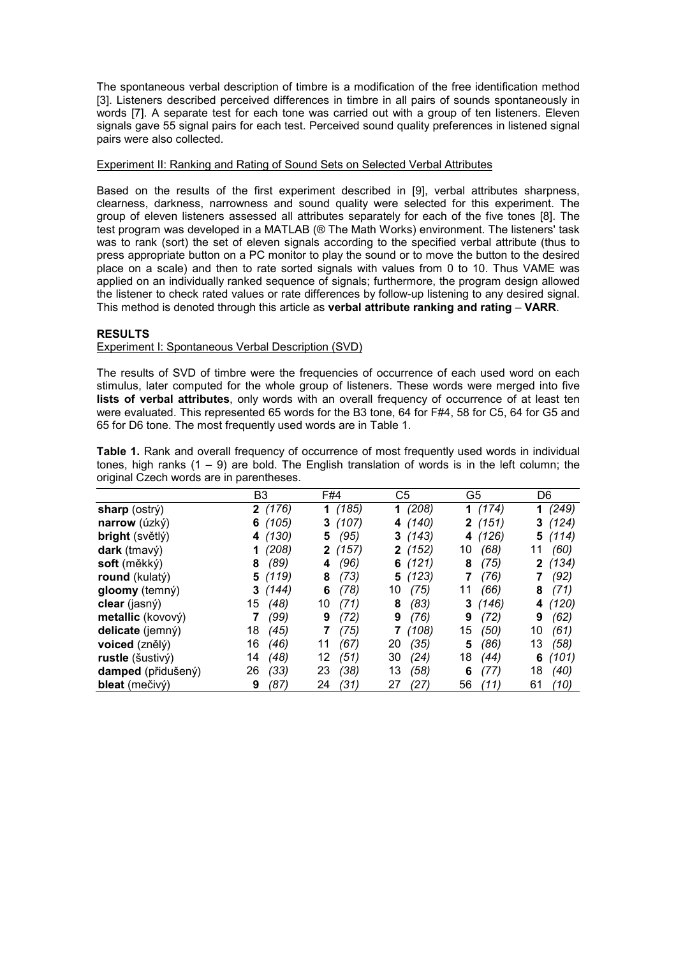The spontaneous verbal description of timbre is a modification of the free identification method [3]. Listeners described perceived differences in timbre in all pairs of sounds spontaneously in words [7]. A separate test for each tone was carried out with a group of ten listeners. Eleven signals gave 55 signal pairs for each test. Perceived sound quality preferences in listened signal pairs were also collected.

# Experiment II: Ranking and Rating of Sound Sets on Selected Verbal Attributes

Based on the results of the first experiment described in [9], verbal attributes sharpness, clearness, darkness, narrowness and sound quality were selected for this experiment. The group of eleven listeners assessed all attributes separately for each of the five tones [8]. The test program was developed in a MATLAB (® The Math Works) environment. The listeners' task was to rank (sort) the set of eleven signals according to the specified verbal attribute (thus to press appropriate button on a PC monitor to play the sound or to move the button to the desired place on a scale) and then to rate sorted signals with values from 0 to 10. Thus VAME was applied on an individually ranked sequence of signals; furthermore, the program design allowed the listener to check rated values or rate differences by follow-up listening to any desired signal. This method is denoted through this article as **verbal attribute ranking and rating** – **VARR**.

# **RESULTS**

# Experiment I: Spontaneous Verbal Description (SVD)

The results of SVD of timbre were the frequencies of occurrence of each used word on each stimulus, later computed for the whole group of listeners. These words were merged into five **lists of verbal attributes**, only words with an overall frequency of occurrence of at least ten were evaluated. This represented 65 words for the B3 tone, 64 for F#4, 58 for C5, 64 for G5 and 65 for D6 tone. The most frequently used words are in Table 1.

**Table 1.** Rank and overall frequency of occurrence of most frequently used words in individual tones, high ranks  $(1 - 9)$  are bold. The English translation of words is in the left column; the original Czech words are in parentheses.

|                    | B3         | F#4        | C5         | G5         | D6         |
|--------------------|------------|------------|------------|------------|------------|
| sharp (ostrý)      | 2(176)     | 1(185)     | 1(208)     | 1(174)     | (249)<br>1 |
| narrow (úzký)      | 6(105)     | 3(107)     | (140)<br>4 | 2(151)     | (124)<br>3 |
| bright (světlý)    | (130)<br>4 | (95)<br>5. | (143)<br>3 | (126)<br>4 | 5(114)     |
| dark (tmavý)       | (208)      | 2(157)     | (152)<br>2 | (68)<br>10 | (60)<br>11 |
| soft (měkký)       | (89)       | (96)       | (121)      | (75)       | (134)      |
|                    | 8          | 4          | 6          | 8          | 2          |
| round (kulatý)     | 5(119)     | (73)<br>8  | (123)<br>5 | (76)<br>7  | (92)<br>7  |
| gloomy (temný)     | 3(144)     | (78)<br>6  | (75)<br>10 | (66)<br>11 | (71)<br>8  |
| clear (jasný)      | (48)       | (71)       | (83)       | (146)      | (120)      |
|                    | 15         | 10         | 8          | 3          | 4          |
| metallic (kovový)  | (99)       | (72)       | (76)       | (72)       | (62)       |
|                    | 7          | 9          | 9          | 9          | 9          |
| delicate (jemný)   | (45)       | (75)       | (108)      | (50)       | (61)       |
|                    | 18         | 7          | 7          | 15         | 10         |
| voiced (znělý)     | 16         | (67)       | (35)       | (86)       | 13         |
|                    | (46)       | 11         | 20         | 5          | (58)       |
| rustle (šustivý)   | (48)       | (51)       | (24)       | 18         | (101)      |
|                    | 14         | 12         | 30         | (44)       | 6          |
| damped (přidušený) | 26         | (38)       | 13         | (77)       | (40)       |
|                    | (33)       | 23         | (58)       | 6          | 18         |
| bleat (mečivý)     | (87)       | (31)       | (27)       | 56         | 61         |
|                    | 9          | 24         | 27         | (11)       | (10)       |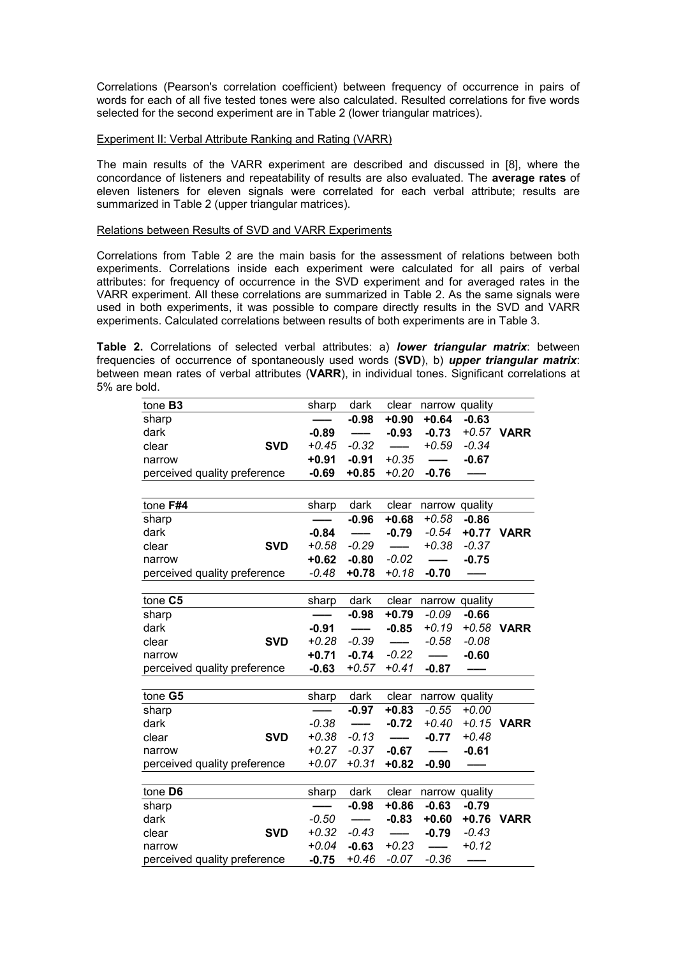Correlations (Pearson's correlation coefficient) between frequency of occurrence in pairs of words for each of all five tested tones were also calculated. Resulted correlations for five words selected for the second experiment are in Table 2 (lower triangular matrices).

#### Experiment II: Verbal Attribute Ranking and Rating (VARR)

The main results of the VARR experiment are described and discussed in [8], where the concordance of listeners and repeatability of results are also evaluated. The **average rates** of eleven listeners for eleven signals were correlated for each verbal attribute; results are summarized in Table 2 (upper triangular matrices).

# Relations between Results of SVD and VARR Experiments

Correlations from Table 2 are the main basis for the assessment of relations between both experiments. Correlations inside each experiment were calculated for all pairs of verbal attributes: for frequency of occurrence in the SVD experiment and for averaged rates in the VARR experiment. All these correlations are summarized in Table 2. As the same signals were used in both experiments, it was possible to compare directly results in the SVD and VARR experiments. Calculated correlations between results of both experiments are in Table 3.

**Table 2.** Correlations of selected verbal attributes: a) *lower triangular matrix*: between frequencies of occurrence of spontaneously used words (**SVD**), b) *upper triangular matrix*: between mean rates of verbal attributes (**VARR**), in individual tones. Significant correlations at 5% are bold.

| tone B3                      |            | sharp   | dark    | clear           | narrow quality |         |             |
|------------------------------|------------|---------|---------|-----------------|----------------|---------|-------------|
| sharp                        |            |         | $-0.98$ | $+0.90$         | $+0.64$        | $-0.63$ |             |
| dark                         |            | $-0.89$ |         | $-0.93$         | $-0.73$        |         | +0.57 VARR  |
| clear                        | <b>SVD</b> | $+0.45$ | $-0.32$ |                 | $+0.59$        | $-0.34$ |             |
| narrow                       |            | $+0.91$ | $-0.91$ | $+0.35$         |                | $-0.67$ |             |
| perceived quality preference |            | $-0.69$ | $+0.85$ | $+0.20$         | $-0.76$        |         |             |
|                              |            |         |         |                 |                |         |             |
| tone F#4                     |            | sharp   | dark    | clear           | narrow quality |         |             |
| sharp                        |            |         | $-0.96$ | $+0.68$         | $+0.58$        | $-0.86$ |             |
| dark                         |            | $-0.84$ |         | $-0.79$         | $-0.54$        |         | +0.77 VARR  |
| clear                        | <b>SVD</b> | $+0.58$ | $-0.29$ |                 | $+0.38$        | $-0.37$ |             |
| narrow                       |            | $+0.62$ | $-0.80$ | $-0.02$         |                | $-0.75$ |             |
| perceived quality preference |            | $-0.48$ | $+0.78$ | $+0.18$         | $-0.70$        |         |             |
|                              |            |         |         |                 |                |         |             |
| tone C5                      |            | sharp   | dark    | clear           | narrow quality |         |             |
| sharp                        |            |         | $-0.98$ | $+0.79$         | $-0.09$        | $-0.66$ |             |
| dark                         |            | $-0.91$ |         | $-0.85$         | $+0.19$        | $+0.58$ | <b>VARR</b> |
| clear                        | <b>SVD</b> | $+0.28$ | $-0.39$ |                 | $-0.58$        | $-0.08$ |             |
| narrow                       |            | $+0.71$ | $-0.74$ | $-0.22$         |                | $-0.60$ |             |
| perceived quality preference |            | $-0.63$ | $+0.57$ | $+0.41$         | $-0.87$        |         |             |
|                              |            |         |         |                 |                |         |             |
| tone G5                      |            | sharp   | dark    | clear           | narrow quality |         |             |
| sharp                        |            |         | $-0.97$ | $+0.83$         | $-0.55$        | $+0.00$ |             |
| dark                         |            | $-0.38$ |         | $-0.72$         | $+0.40$        | $+0.15$ | <b>VARR</b> |
| clear                        | <b>SVD</b> | $+0.38$ | $-0.13$ |                 | $-0.77$        | $+0.48$ |             |
| narrow                       |            | $+0.27$ | $-0.37$ | $-0.67$         |                | $-0.61$ |             |
| perceived quality preference |            | $+0.07$ | $+0.31$ | $+0.82$         | $-0.90$        |         |             |
|                              |            |         |         |                 |                |         |             |
| tone D6                      |            | sharp   | dark    | clear           | narrow quality |         |             |
| sharp                        |            |         | $-0.98$ | $+0.86$         | $-0.63$        | $-0.79$ |             |
| dark                         |            | $-0.50$ | Ξ.      | $-0.83$         | $+0.60$        | $+0.76$ | <b>VARR</b> |
| clear                        | <b>SVD</b> | $+0.32$ | $-0.43$ | $\qquad \qquad$ | $-0.79$        | $-0.43$ |             |
| narrow                       |            | $+0.04$ | $-0.63$ | $+0.23$         | ---            | $+0.12$ |             |
| perceived quality preference |            | $-0.75$ | +0.46   | $-0.07$         | $-0.36$        |         |             |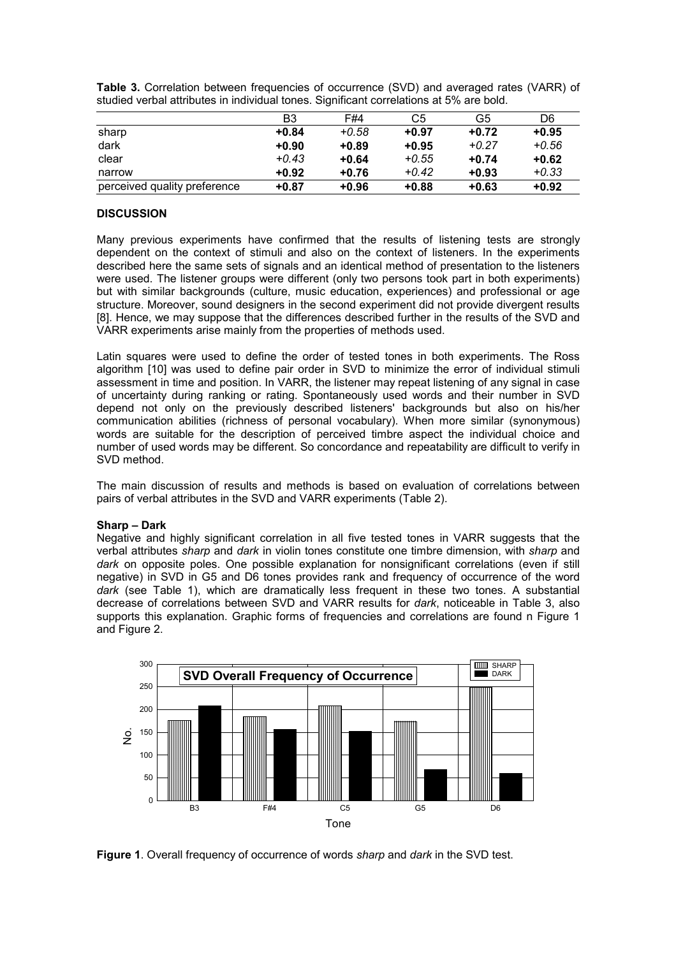|                              | B3      | F#4     | C5      | G5      | D6      |
|------------------------------|---------|---------|---------|---------|---------|
| sharp                        | $+0.84$ | $+0.58$ | $+0.97$ | $+0.72$ | $+0.95$ |
| dark                         | $+0.90$ | $+0.89$ | $+0.95$ | $+0.27$ | $+0.56$ |
| clear                        | $+0.43$ | $+0.64$ | $+0.55$ | $+0.74$ | $+0.62$ |
| narrow                       | $+0.92$ | $+0.76$ | $+0.42$ | $+0.93$ | $+0.33$ |
| perceived quality preference | $+0.87$ | $+0.96$ | $+0.88$ | $+0.63$ | $+0.92$ |

**Table 3.** Correlation between frequencies of occurrence (SVD) and averaged rates (VARR) of studied verbal attributes in individual tones. Significant correlations at 5% are bold.

# **DISCUSSION**

Many previous experiments have confirmed that the results of listening tests are strongly dependent on the context of stimuli and also on the context of listeners. In the experiments described here the same sets of signals and an identical method of presentation to the listeners were used. The listener groups were different (only two persons took part in both experiments) but with similar backgrounds (culture, music education, experiences) and professional or age structure. Moreover, sound designers in the second experiment did not provide divergent results [8]. Hence, we may suppose that the differences described further in the results of the SVD and VARR experiments arise mainly from the properties of methods used.

Latin squares were used to define the order of tested tones in both experiments. The Ross algorithm [10] was used to define pair order in SVD to minimize the error of individual stimuli assessment in time and position. In VARR, the listener may repeat listening of any signal in case of uncertainty during ranking or rating. Spontaneously used words and their number in SVD depend not only on the previously described listeners' backgrounds but also on his/her communication abilities (richness of personal vocabulary). When more similar (synonymous) words are suitable for the description of perceived timbre aspect the individual choice and number of used words may be different. So concordance and repeatability are difficult to verify in SVD method.

The main discussion of results and methods is based on evaluation of correlations between pairs of verbal attributes in the SVD and VARR experiments (Table 2).

#### **Sharp – Dark**

Negative and highly significant correlation in all five tested tones in VARR suggests that the verbal attributes *sharp* and *dark* in violin tones constitute one timbre dimension, with *sharp* and *dark* on opposite poles. One possible explanation for nonsignificant correlations (even if still negative) in SVD in G5 and D6 tones provides rank and frequency of occurrence of the word *dark* (see Table 1), which are dramatically less frequent in these two tones. A substantial decrease of correlations between SVD and VARR results for *dark*, noticeable in Table 3, also supports this explanation. Graphic forms of frequencies and correlations are found n Figure 1 and Figure 2.



**Figure 1**. Overall frequency of occurrence of words *sharp* and *dark* in the SVD test.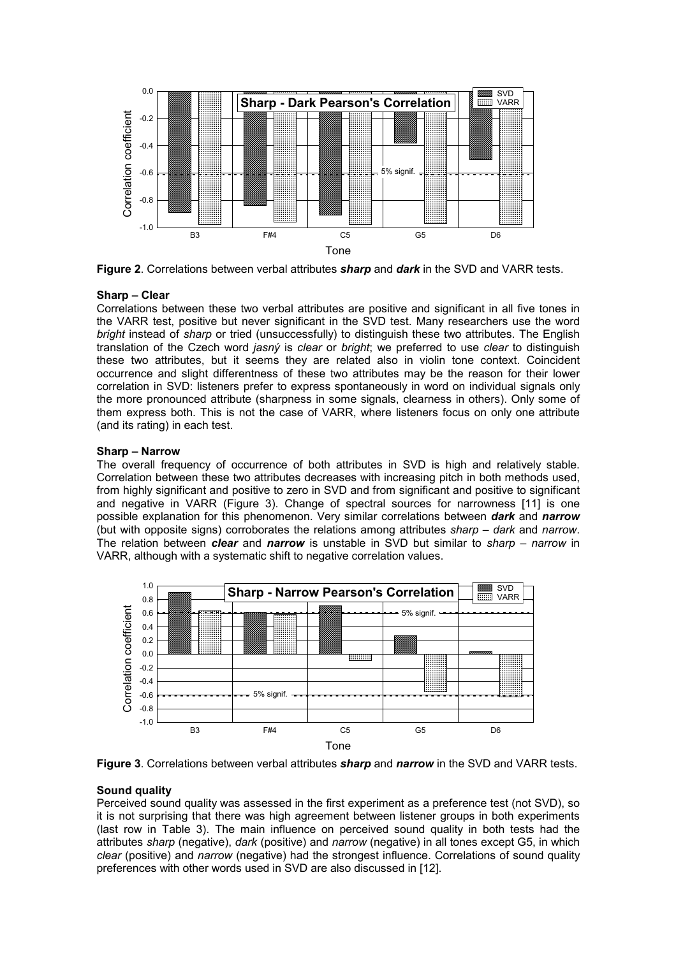

**Figure 2**. Correlations between verbal attributes *sharp* and *dark* in the SVD and VARR tests.

# **Sharp – Clear**

Correlations between these two verbal attributes are positive and significant in all five tones in the VARR test, positive but never significant in the SVD test. Many researchers use the word *bright* instead of *sharp* or tried (unsuccessfully) to distinguish these two attributes. The English translation of the Czech word *jasný* is *clear* or *bright*; we preferred to use *clear* to distinguish these two attributes, but it seems they are related also in violin tone context. Coincident occurrence and slight differentness of these two attributes may be the reason for their lower correlation in SVD: listeners prefer to express spontaneously in word on individual signals only the more pronounced attribute (sharpness in some signals, clearness in others). Only some of them express both. This is not the case of VARR, where listeners focus on only one attribute (and its rating) in each test.

# **Sharp – Narrow**

The overall frequency of occurrence of both attributes in SVD is high and relatively stable. Correlation between these two attributes decreases with increasing pitch in both methods used, from highly significant and positive to zero in SVD and from significant and positive to significant and negative in VARR (Figure 3). Change of spectral sources for narrowness [11] is one possible explanation for this phenomenon. Very similar correlations between *dark* and *narrow* (but with opposite signs) corroborates the relations among attributes *sharp* – *dark* and *narrow*. The relation between *clear* and *narrow* is unstable in SVD but similar to *sharp* – *narrow* in VARR, although with a systematic shift to negative correlation values.





# **Sound quality**

Perceived sound quality was assessed in the first experiment as a preference test (not SVD), so it is not surprising that there was high agreement between listener groups in both experiments (last row in Table 3). The main influence on perceived sound quality in both tests had the attributes *sharp* (negative), *dark* (positive) and *narrow* (negative) in all tones except G5, in which *clear* (positive) and *narrow* (negative) had the strongest influence. Correlations of sound quality preferences with other words used in SVD are also discussed in [12].